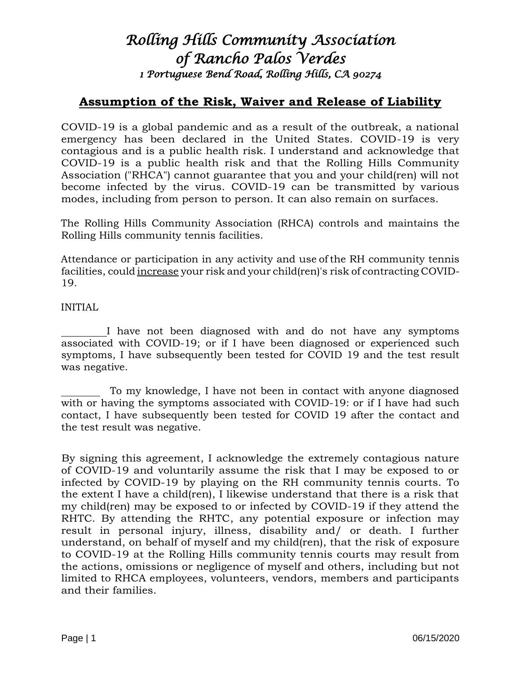## *Rolling Hills Community Association of Rancho Palos Verdes 1 Portuguese Bend Road, Rolling Hills, CA 90274*

## **Assumption of the Risk, Waiver and Release of Liability**

COVID-19 is a global pandemic and as a result of the outbreak, a national emergency has been declared in the United States. COVID-19 is very contagious and is a public health risk. I understand and acknowledge that COVID-19 is a public health risk and that the Rolling Hills Community Association ("RHCA") cannot guarantee that you and your child(ren) will not become infected by the virus. COVID-19 can be transmitted by various modes, including from person to person. It can also remain on surfaces.

The Rolling Hills Community Association (RHCA) controls and maintains the Rolling Hills community tennis facilities.

Attendance or participation in any activity and use of the RH community tennis facilities, could increase your risk and your child(ren)'s risk of contracting COVID-19.

## INITIAL

 I have not been diagnosed with and do not have any symptoms associated with COVID-19; or if I have been diagnosed or experienced such symptoms, I have subsequently been tested for COVID 19 and the test result was negative.

 To my knowledge, I have not been in contact with anyone diagnosed with or having the symptoms associated with COVID-19: or if I have had such contact, I have subsequently been tested for COVID 19 after the contact and the test result was negative.

By signing this agreement, I acknowledge the extremely contagious nature of COVID-19 and voluntarily assume the risk that I may be exposed to or infected by COVID-19 by playing on the RH community tennis courts. To the extent I have a child(ren), I likewise understand that there is a risk that my child(ren) may be exposed to or infected by COVID-19 if they attend the RHTC. By attending the RHTC, any potential exposure or infection may result in personal injury, illness, disability and/ or death. I further understand, on behalf of myself and my child(ren), that the risk of exposure to COVID-19 at the Rolling Hills community tennis courts may result from the actions, omissions or negligence of myself and others, including but not limited to RHCA employees, volunteers, vendors, members and participants and their families.